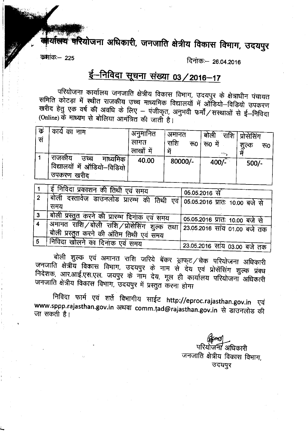क्बार्यालय करियोजना अधिकारी, जनजाति क्षेत्रीय विकास विमाग, उदयपुर

कमांकः –225

दिनांकः – 26.04.2016

# <u>ई-निविदा सूचना संख्या 03 / 2016-17</u>

परियोजना कार्यालय जनजाति क्षेत्रीय विकास विभाग, उदयपुर के क्षेत्राधीन पंचायत समिति कोटड़ा में स्थीत राजकीय उच्च माध्यमिक विद्यालयों में ऑडियो–विडियो उपकरण खरीद हेतु एक वर्ष की अवधि के लिए – पंजीकृत, अनुभवी फर्मों / सस्थाओं से ई–निविदा (Online) के माध्यम से बोलिया आमंत्रित की जाती है।

| क<br>सं | े कार्य का नाम                                                          | अनुमानित<br>लागत<br>लाखों में | अमानत<br>राशि<br>रु०<br>में | ं राशि । -<br>बोली<br>रु0 में<br>$\mathcal{F}^{\text{in}}_{\text{in}}$ , $\mathcal{F}^{\text{in}}_{\text{in}}$ | प्रोसेसिंग<br>शुल्क<br>रू0 |
|---------|-------------------------------------------------------------------------|-------------------------------|-----------------------------|----------------------------------------------------------------------------------------------------------------|----------------------------|
|         | राजकीय<br>उच्च<br>माध्यमिक<br>विद्यालयों में ऑडियो–विडियो<br>उपकरण खरीद | 40.00                         | 80000/-                     | $400/-$                                                                                                        | $500/-$                    |

|     | ई निविदा प्रकाशन की तिथी एवं समय                                                        | 05.05.2016 से                  |
|-----|-----------------------------------------------------------------------------------------|--------------------------------|
| 2   | बोली दस्तावेज डाउनलोड प्रारम्भ की तिथी एवं 05.05.2016 प्रातः 10.00 बजे से<br>समय        |                                |
|     | , बोली प्रस्तुत करने की प्रारम्भ दिनाक एवं समय                                          |                                |
|     |                                                                                         | 05.05.2016 प्रातः 10.00 बजे से |
| (4) | अमानत राशि बोली राशि /प्रोसेसिंग शुल्क तथा <br>बोली प्रस्तुत करने की अंतिम तिथी एवं समय | । 23.05.2016 सांय 01.00 बजे तक |
|     |                                                                                         |                                |
|     | मिविदा खोलने का दिनांक एवं समय                                                          | 23.05.2016 सांय 03.00 बजे तक   |

बोली शुल्क एवं अमानत राशि जरिये बेंकर ड्राफ्ट / चेक परियोजना अधिकारी जनजाति क्षेत्रीय विकास विभाग, उदयपुर के नाम से देय एवं प्रोसेंसिंग शुल्क प्रबध निदेशक, आर.आई.एस.एल. जयपुर के नॉम देय, मूल ही कार्यालय परियोजना अधिकारी जनजाति क्षेत्रीय विकास विभाग, उदयपुर में प्रस्तुत करना होगा

निविदा फार्म एवं शर्ते विभागीय साईट http://eproc.rajasthan.gov.in एवं www.sppp.rajasthan.gov.in अथवा comm.tad@rajasthan.gov.in से डाउनलोड की जा सकती है।

> परियोजनी अधिकारी जनजाति क्षेत्रीय विकास विभाग, उदयपुर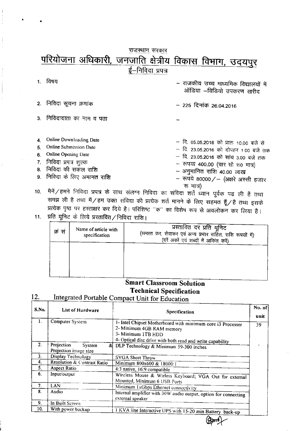## <u>परियोजना अधिकारी, जनजाति क्षेत्रीय विकास विभाग, उदयपुर</u><br>ई–निविद्या प्रपत्र <u>राजस्थान</u> सरकार

|                |                                                                                                                                                                           | - राजकीय उच्च माध्यमिक विद्यालयों में<br>ऑडिया -विडियो उपकरण खरीद                                                                                                                                                                             |
|----------------|---------------------------------------------------------------------------------------------------------------------------------------------------------------------------|-----------------------------------------------------------------------------------------------------------------------------------------------------------------------------------------------------------------------------------------------|
|                | 2. निविदा सूचना क्रमांक                                                                                                                                                   | $-$ 225 दिनांक 26.04.2016                                                                                                                                                                                                                     |
| $\mathbf{3}$   | निविदादाता का नाम व पता                                                                                                                                                   |                                                                                                                                                                                                                                               |
| 5.<br>6.<br>7. | Online Downloading Date<br>Online Submission Date<br>Online Opening Date<br>निविदा प्रपत्र शुल्क<br>8. निविदा की सकल राशि<br>9. निविदा के लिए अमानत राशि<br>. سمه نسب ۱۳۰ | - दि. 05.05.2016 को प्रातः 10.00 बजे से<br>– दि. 23.05.2016 को दोपहर 1.00 बजे तक<br>— दि. 23.05.2016 को सांय 3.00 बजे तक<br>- रुपया 400.00 (चार सौ रू0 मात्र)<br>- अनुमानित राशि 40.00 लाख<br>- रूपये 80000/- (अक्षरे अस्सी हजार<br>रू मात्र) |

10. मैनें / हमने निविदा प्रपत्र के साथ संलग्न निविदा का संविदा शर्ते ध्यान पूर्वक पढ ली है तथा<br>समझ ली है तथा मैं / हम उक्त संविदा की प्रत्येक शर्त मानने के लिए सहमत हूँ / है तथा इसके<br>प्रत्येक पृष्ठ पर हस्ताक्षर कर दिये ह समझ ली है तथा मैं / हम उक्त संविदा की प्रत्येक शर्त मानने के लिए सहमत हूँ / है तथा इसके

11. प्रति यूनिट के लिये प्रस्तावित/निविदा राशि।

| क्रं स | Name of article with<br>specification | प्रस्तावित दर प्रति यूनिट<br>(समस्त कर, सेवाकर एवं अन्य प्रभार सहित, राशि रूपयों में)<br>(दरें अर्को एवं शब्दों में अकिंत करें) |
|--------|---------------------------------------|---------------------------------------------------------------------------------------------------------------------------------|
|        |                                       |                                                                                                                                 |

## Smart Classroom Solution Technical Specification

#### Integrated Portable Compact Unit for Education 12.

| S.No.          | List of Hardware                              | Specification                                                                                                                                                               | No. of<br>unit |
|----------------|-----------------------------------------------|-----------------------------------------------------------------------------------------------------------------------------------------------------------------------------|----------------|
| 1.             | Computer System                               | 1- Intel Chipset Motherboard with minimum core i3 Processer<br>2- Minimum 4GB RAM memory<br>3- Minimum 1TB HDD<br>4- Optical disc drive with both read and write capability | 39             |
| 2 <sub>1</sub> | Projection<br>System<br>Projection image size | & DLP Technology & Minimum 59-300 inches                                                                                                                                    |                |
| 3.             | Display Technology                            | <b>SVGA Short Throw</b>                                                                                                                                                     |                |
| 4.             | Resolution & Contrast Ratio                   | Minimum 800x600 & 18000:1                                                                                                                                                   |                |
| 5.             | <b>Aspect Ratio</b>                           | 4:3 native, 16:9 compatible                                                                                                                                                 |                |
| 6.             | Input/output                                  | Wireless Mouse & Wirless Keyboard; VGA Out for external<br>Mounted, Minimum 6 USB Ports                                                                                     |                |
| 7.             | LAN                                           | Minimum 1xGbps Ethernet connectivity                                                                                                                                        |                |
| 8.             | Audio                                         | Internal amplifier with 30W audio output, option for connecting<br>external speaker                                                                                         |                |
| 9.             | In Built Screen                               |                                                                                                                                                                             |                |
| 10.            | With power backup                             | I KVA line Interactive UPS with 15-20 min Battery back-up                                                                                                                   |                |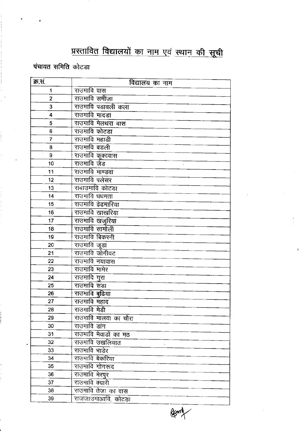# <u>प्रस्तावित विद्यालयों का नाम एवं स्थान की सूची</u>

पंचायत समिति कोटडा

| क्र.स.         | विद्यालय का नाम                 |
|----------------|---------------------------------|
| 1              | राउमावि वास                     |
| $\overline{2}$ | राउमावि समीजा                   |
| 3              | राउमावि पडावली कला              |
| 4              | राउमावि मादडा                   |
| 5              | राउमावि मेलथरा वास              |
| 6              | राउमावि कोटडा                   |
| $\overline{7}$ | राउमावि महाडी                   |
| 8              | राउमावि बडली                    |
| 9              | <u>राउमावि कूकावास</u>          |
| 10             | राउमावि र्जड                    |
| 11             | राउमावि माण्डवा                 |
| 12             | राउमावि पलेसर                   |
| 13             | राबाउमावि कोटडा                 |
| 14             | राउमावि धधमता                   |
| 15             | राउमावि ढेढमारिया               |
| 16             | राउमावि खाखरिया                 |
| 17             | राउमावि खजुरिया                 |
| 18             | राउमावि सामोली                  |
| 19             | राउमावि बिकरनी                  |
| 20             | राउमावि जूडा                    |
| 21             | राउमावि जोगीवट                  |
| 22             | राउमावि नयावास                  |
| 23             | राउमावि मामेर                   |
| 24             | <u>राउमावि गुरा</u>             |
| 25             | राउमावि सडा                     |
| 26             | राउमावि बुढिया                  |
| 27             | राउंगावि महाद                   |
| 28             | राउमावि मेडी                    |
| 29             | राउमावि मालवा का चौरा           |
| 30             | राउमावि डांग                    |
| 31             | राउमावि मेवाडों का मठ           |
| 32             | राउमावि उखलियात                 |
| 33             | राउमावि भाडेर                   |
| 34             | राउमावि बेकरिया                 |
| 35             | राउमावि गोगरूद                  |
| 36             | राउमावि मेरपुर                  |
| 37             | राउमावि क्यारी                  |
| 38             | <del>राउ</del> मावि तेजा का वास |
| 39             | राजजाउमाआवि, कोटडा              |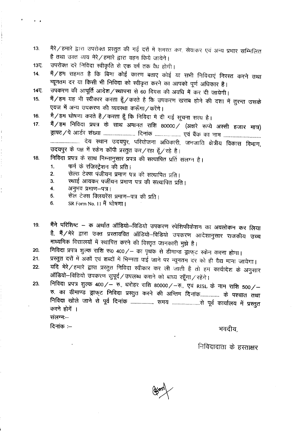मैरे/हमारे द्वारा उपरोक्त प्रस्तुत की गई दरों में समस्त कर, सेवाकर एवं अन्य प्रभार सम्मिलित  $13.$ है तथा उक्त व्यय मेरे/हमारे द्वारा वहन किये जायेगे।

उपरोक्त दरे निविदा स्वीकृति से एक वर्ष तक वैध होगी।  $13<sub>2</sub>$ 

 $\cdot$   $\cdot$ 

मैं / हम सहमत है कि बिना कोई कारण बताए कोई या सभी निविदाएं निरस्त करने तथा  $14.$ न्यूनतम दर या किसी भी निविदा को स्वीकृत करने का आपको पूर्ण अधिकार है।

उपकरण की आपूर्ति आदेश/स्थापना से 60 दिवस की अवधि में कर दी जायेगी। 14又

- मैं/हम यह भी स्वीकार करता हूँ/करते है कि उपकरण खराब होने की दशा में तुरन्त उसके  $15.$ एवज में अन्य उपकरण की व्यवस्था करूँगा/करेंगे।
- मै/हम घोषणा करते है/करता हूँ कि निविदा में दी गई सूचना सत्य है। 16.
- मैं / हम निविदा प्रपत्र के साथ अमानत राशि 80000 / (अक्षरे रूप्ये अरसी हजार मात्र)  $17.$ उदयपुर के पक्ष में स्केन कॉपी प्रस्तुत कर/रहा हूँ/रहे है।
- निविदा प्रपत्र के साथ निम्नानुसार प्रपत्र की सत्यापित प्रति संलग्न है। 18.
	- फर्म के रजिस्ट्रेशन की प्रति।  $\mathbf{1}$ .
	- सेल्स टेक्स पंजीयन प्रमाण पत्र की सत्यापित प्रति।  $2.$
	- स्थाई आयकर पर्जीयन प्रमाण पत्र की सत्यापित प्रति। 3.
	- अनुभव प्रमाण-पत्र। 4
	- सेल टेक्स क्लियरेंस प्रमाण-पत्र की प्रति।  $5.$
	- SR Form No. 11 मैं घोषणा। 6.
- मैंने परिशिष्ट क अर्थात ऑडियो-विडियो उपकरण स्पेशिफीकेशन का अवलोकन कर लिया 19. है, मैं/मेरे द्वारा उक्त प्रस्ताववित ऑडियो–विडियो उपकरण आदेशानुसार राजकीय उच्च माध्यमिक विद्यालयों में स्थापित करने की विस्तृत जानकारी मुझे है।
- निविदा प्रपत्र शुल्क राशि रू0 400/- का पृथक से डीमान्ड ड्राफ्ट स्केन करना होगा। 20.
- प्रस्तुत दरों में अकों एवं शब्दों में भिन्नता पाई जाने पर न्यूनतम दर को ही वैद्य माना जायेगा।  $21.$
- यदि मेरे / हमारे द्वारा प्रस्तुत निविदा स्वीकार कर ली जाती है तो हम कार्यादेश के अनुसार 22. ऑडियो-विडियो उपकरण सुपूर्व / उपलब्ध कराने को बाध्य रहूँगा / रहेंगे।
- निविदा प्रपत्र शुल्क 400/- रु., धरोहर राशि 80000/-रु., एवं RISL के नाम राशि 500/-23. रु. का डीमाण्ड ड्राफ्ट निविदा प्रस्तुत करने की अन्तिम दिनांक............... के पश्चात तथा करने होंगें । संलग्न-

दिनांक $:=$ 

भवदीय.

निविदादाता के हस्ताक्षर

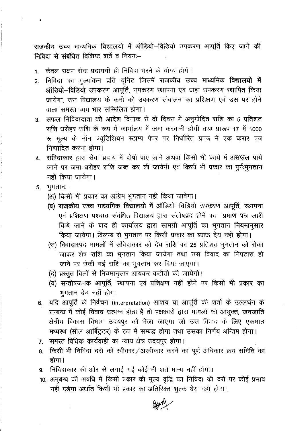राजकीय उच्च माध्यमिक विद्यालयो में ऑडियो-विडियो उपकरण आपूर्ति किए जाने की निविदा से संबंधित विशिष्ट शर्ते व नियम:--

- 1. केवल सक्षम सेवा प्रदायगी ही निविदा भरने के योग्य होगें।
- निविदा का मूल्यांकन प्रति यूनिट जिसमें राजकीय उच्च माध्यमिक **विद्यालयो में**  $2.$ ऑडियो-विडियो उपकरण आपूर्ति, उपकरण स्थापना एवं जहां उपकरण स्थापित किया जायेगा. उस विद्यालय के कर्मी को उपकरण संचालन का प्रशिक्षण एवं उस पर होने वाला समस्त व्यय भार सम्मिलित होगा।
- 3. सफल निविदादाता को आदेश दिनांक से दो दिवस में अनुमोदित राशि का 5 प्रतिशत राशि धरोहर राशि के रूप में कार्यालय में जमा करवानी होगी तथा प्रारूप 17 में 1000 रू मूल्य के नॉन ज्यूडिशियन स्टाम्प पेपर पर निर्धारित प्रपत्र में एक करार पत्र निष्पादित करना होगा।
- 4. संविदाकार द्वारा सेवा प्रदाय में दोषी पाए जाने अथवा किसी भी कार्य में असफल पाये जाने पर जमा धरोहर राशि जब्त कर ली जायेगी एवं किसी भी प्रकार का पूर्नःभूगतान नहीं किया जायेगा।
- $5.$  भूगतान $-$ 
	- (अ) किसी भी प्रकार का अग्रिम भुगतान नही किया जावेगा।
	- (ब) राजकीय उच्च माध्यमिक विद्यालयो में ऑडियो-विडियो उपकरण आपूर्ति, स्थापना एवं प्रशिक्षण पश्चात संबंधित विद्यालय द्वारा संतोषप्रद होने का प्रमाण पत्र जारी किये जाने के बाद ही कार्यालय द्वारा सामग्री आपूर्ति का भूगतान नियमानुसार किया जावेगा। विलम्ब से भुगतान पर किसी प्रकार का ब्याज देय नहीं होगा।
	- (स) विवादास्पद मामलों में संविदाकार को देय राशि का 25 प्रतिशत भूगतान को रोका जाकर शेष राशि का भूगतान किया जायेगा तथा उस विवाद का निपटारा हो जाने पर रोकी गई राशि का भुगतान कर दिया जाएगा।
	- (द) प्रस्तुत बिलों से नियमानुसार आयकर कटौती की जायेगी।
	- (य) सन्तोषजनक आपूर्ति, स्थापना एवं प्रशिक्षण नहीं होने पर किसी भी प्रकार का भुगतान देय नहीं होगा
- यदि आपूर्ति के निर्वचन (Interpretation) आशय या आपूर्ति की शर्तों के उल्लघंन के 6. सम्बन्ध में कोई विवाद उत्पन्न होता है तो पक्षकारों द्वारा मामलों को आयुक्त, जनजाति क्षेत्रीय विकास विभाग उदयपुर को भेजा जाएगा जो उस विवाद के लिए एकमात्र मध्यस्थ (सोल आर्बिट्रटर) के रूप में सम्बद्ध होगा तथा उसका निर्णय अन्तिम होगा।
- समस्त विधिक कार्यवाही का न्याय क्षेत्र उदयपुर होगा।  $7.$
- किसी भी निविदा दरो को स्वीकार/अस्वीकार करने का पूर्ण अधिकार क्रय समिति का 8. होगा।
- निविदाकार की ओर से लगाई गई कोई भी शर्त मान्य नहीं होगी।  $9<sub>1</sub>$
- 10. अनुबन्ध की अवधि में किसी प्रकार की मूल्य वृद्धि का निविदा की दरों पर कोई प्रभाव नहीं पड़ेगा अर्थात किसी भी प्रकार का अतिरिक्त शुल्क देय नहीं होगा।

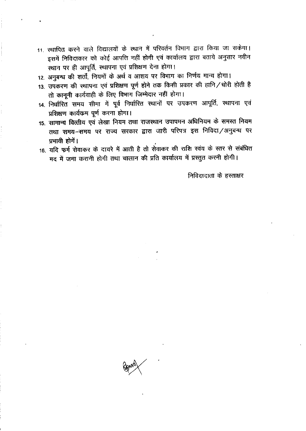- 11. स्थापित करने वाले विद्यालयों के स्थान में परिवर्तन विभाग द्वारा किया जा सकेगा। इसमें निविदाकार को कोई आपत्ति नहीं होगी एवं कार्यालय द्वारा बताये अनुसार नवीन स्थान पर ही आपूर्ति, स्थापना एवं प्रशिक्षण देना होगा।
- 12. अनुबन्ध की शर्तों, नियमों के अर्थ व आशय पर विभाग का निर्णय मान्य होगा।
- 13. उपकरण की स्थापना एवं प्रशिक्षण पूर्ण होने तक किसी प्रकार की हानि / चोरी होती है तो कानूनी कार्यवाही के लिए विभाग जिम्मेदार नहीं होगा।
- 14. निर्धारित समय सीमा में पूर्व निर्धारित स्थानों पर उपकरण आपूर्ति, स्थापना एवं प्रशिक्षण कार्यक्रम पूर्ण करना होगा।
- 15. सामान्य वित्तीय एवं लेखा नियम तथा राजस्थान उपापमन अधिनियम के समस्त नियम तथा समय-समय पर राज्य सरकार द्वारा जारी परिपत्र इस निविदा/अनुबन्ध पर प्रभावी होगें।
- 16. यदि फर्म सेवाकर के दायरे में आती है तो सेवाकर की राशि स्वंय के स्तर से संबंधित मद में जमा करानी होगी तथा चालान की प्रति कार्यालय में प्रस्तुत करनी होगी।

निविदादाता के हस्ताक्षर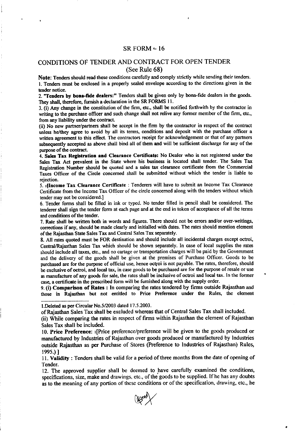### $SR FORM - 16$

## CONDITIONS OF TENDER AND CONTRACT FOR OPEN TENDER (See Rule 68)

Note: Tenders should read these conditions carefully and comply strictly while sending their tenders. l. Tenders must be enclosed in a properly sealed envelope according to the directions given in the tender notice.

2. "Tenders by bona-fide dealers:" Tenders shall be given only by bona-fide dealers in the goods. They shall, therefore, furnish a declaration in the SR FORMS 11.

3. (i) Any change in the constitution of the firm, etc., shall be notified forthwith by the contractor in writing to the purchase officer and such change shall not relive any former member of the firm, etc., from any liability under the contract.

(ii) No new partner/partners shall be accept in the firm by the contractor in respect of the contract unless he/they agree to avoid by all its terms, conditions and deposit with the purchase officer a written agreement to this effect. The contractors receipt for acknowledgement or that of any partners subsequently accepted as above shall bind all of them and will be sufficient discharge for any of the purpose of the contract.

4. Sales Tax Registration and Clearance Certificate: No Dealer who is not registered under the Sales Tax Act prevalent in the State where his business is located shall tender. The Sales Tax Registration Number should be quoted and a sales tax clearance certificate from the Commercial Taxcs Ofiicer of the Circle concerncd shall be submitted without which the tender is liable to rejection.

5. **HIncome Tax Clearance Certificate** : Tenderers will have to submit an Income Tax Clearance Certificate from the Income Tax Officer of the circle concemed along with the tenders without which tender may not be considered.]

6. Tender forms shall be filled in ink or typed. No tender filled in pencil shall be considered. The tenderer shall sign the tender form at each page and at the end in token of acceptance of all the terms and conditions of the tender.

7. Rate shall be written both in words and figures. There should not be errors and/or over-writings, corrections if any, should be made clearly and initialled with dates. The rates should mention element ofthe Rajasthan State Sales Tax and Central Sales Tax separately.

8. All rates quoted must be FOR destination and should include all incidental charges except octroi, Central/Rajasthan Sales Tax which should be shown separately. In case of local supplies the rates should include all taxes, etc., and no cartage or transportation charges will be paid by the Covernment and the delivery of the goods shall be given at the premises of Purchase Officer. Goods to be purchased are for the purpose of official use, hence octroi is not payable. The rates, therefore, should be exclusive of octroi, and local tax, in case goods to be purchased are for the purpose of resale or use as manufacture of any goods for sale, the rates shall be inclusive of octroi and local tax. In the former case, a certificate in the prescribed form will be fumished along with the supply order.

9. (i) Comparison of Rates : In comparing the rates tendercd by firms outside Rajasthan and those in Rajasthan but not entitled to Price Prcference under the Rules, the element ....................................

l.Delet€d as per Circular No.5/2003 dated 17.5.2003.

of Rajasthan Sales Tax shall be excluded whereas that of Central Sales Tax shall included.

(ii) While comparing the rates in respect of firms within Rajasthan the element of Rajasthan Sales Tax shall be included.

10. Price Preference: r [Price preference/prcference will be given to the goods produced or manufactured by Industries of Rajasthan over goods produced or manufactured by lndustries outside Rajasthan as per Purchase of Stores (Preference to Industries of Rajasthan) Rules, 1995.) l

11. Validity: Tenders shall be valid for a period of three months from the date of opening of Tender.

12. The approved supplier shall be deemed to have carefully examined the conditions, specifications, size, make and drawings, etc., of the goods to be supplied. If he has any doubts as to the meaning of any portion of these conditions or of the specification, drawing, etc., he

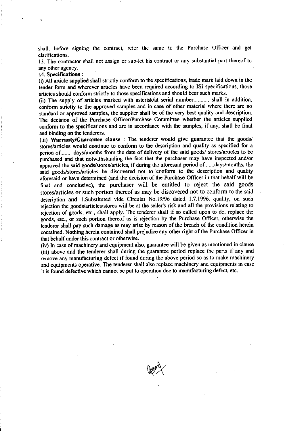shall, before signing the contract, refer the same to the Purchase Officer and get clarifications.

13. The contractor shall not assign or sub-let his contract or any substantial part thereof to any other agency.

#### 14. Specifications :

(i) All article supplied shall strictly conform to the specifications, trade mark laid down in the tender form and wherever articles have been required according to ISI specifications, those articles should conform strictly to those specifications and should bear such marks.

(ii) The supply of articles marked with asterisk/at serial number.........., shall in addition, conform strictly to the approved samples and in case of other material where there are no standard or approved samples, the supplier shall be of the very best quality and description-The decision of the Purchase Officer/Purchase Committee whether the articles supplied conform to the specifications and are in accordance with the samples, if any, shall be final and binding on the tenderers.

(iii) Warranty/Guarantec clause : The tenderer would give guarantee that the goods/ stores/articles would continue to conform to the description and quality as specified for a period of........ days/months from the date of delivery of the said goods/ stores/articles to be purchased and that notwithstanding the fact that the purchaser may have inspected and/or approved the said goods/stores/articles, if during the aforesaid period of.......days/months, the said goods/stores/articles be discovered not to conform to the description and quality aforesaid or have determined (and the decision of the Purchase Officer in that behalf will be final and conclusive), the puchaser will be entitled to reject the said goods stores/articles or such portion thereof as may be discovered not to conform to the said description and 1.Substituted vide Circular No.19/96 dated 1.7.1996. quality, on such rejection the goods/articles/stores will be at the seller's risk and all the provisions relating to rejection of goods, etc., shall apply. The tenderer shall if so called upon to do, replace the goods, etc., or such portion thereof as is rcjection by thc Purchase Officer, otherwise the tenderer shall pay such damage as may arise by reason of the breach of the condition herein contained. Nothing herein contained shall prejudice any other right of the Purchase Officer in that behalf under this contract or otherwise.

(iv) ln case of machinery and equipment also, guarantee will be given as mentioned in clause (iii) above and the tenderer shall during the guarantee period replace the parts if any and remove any manufacturing defect if found during the above period so as to make machinery and equipments operative. The tenderer shall also replace machinery and equipments in case it is found defective which cannot be put to operation due to manufacturing defecr, etc.

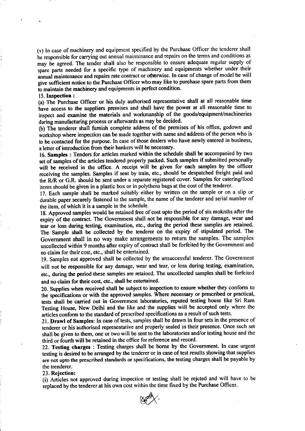(v) In case of machinery and equipment specified by the Purchase Officer the tenderer shall be responsible for carrying out annual maintenance and repairs on the terms and conditions as may be agreed. The tender shall also be responsible to ensure adequate regular supply of spare parts needed for a specific type of machinery and equipments whether under their annual maintenance and repairs rate contract or otherwise. In case of change of model he will give sufficient notice to the Purchase Officer who may like to purchase spare parts from them to maintain the machinery and equipments in perfect condition.

#### 15. Inspection :

(a) The Purchase Officer or his duly authorised representative shall at all reasonable time have access to the suppliers premises and shall have the power at all reasonable time to inspect and examine the materials and workmanship of the goods/equipment/machineries during manufacturing process or afterwards as may be decided.

(b) The tenderer shall fumish complete address of the premises of his office, godown and workshop where inspection can be made together with name and address of the person who is to be contacted for the purpose. In case of those dealers who have newly entered in business, a letter of introduction from their bankers will be necessary.

16. samples : Tenders for articles marked within the schedule shall be accompanied by two set of samples of the articles tendered properly packed. Such samples if submitted personally will be received in the office. A receipt will be given for each samples by the officer receiving the samples. Samples if sent by rain, etc., should be despatched freight paid and the R/R or G.R. should be sent under a separate registered cover. Samples for catering/food items should be given in a plastic box or in polythens bags at the cost of the tenderer.

17. Each sample shall be marked suitably either by written on the sample or on a slip or durable paper securely fastened to the sample, the name of the tenderer and serial number of the item, of which it is a sample in the schedule.

18. Approved samples would be retained free of cost upto the period of six moknths after the expiry of the contract. The Govemment shall not be responsible for any damage, wear and tear or loss during testing, examination, etc., during the period these samples arc rctained. The Sample shall be collected by the tenderer on the expiry of stipulated period. The Government shall in no way make arrangements to return the samples. The samples uncollected within 9 months after expiry of contract shall be forfeited by the Government and no claim for their cost, etc., shall be entertained.

19. Samples not approved shall be collected by the unsuccessful tenderer. The Govemment will not be responsible for any damage, wear and tear, or loss during testing, examination, etc., during the period these samples are retained. The uncollected samples shall be forfeited and no claim for their cost, etc., shall be entertained.

20. Supplies when received shall be subject to inspection to ensure whether they conform to the specifications or with the approved samples. Where necessary or prescribed or practical, tests shall be carried out in Government laboratories, reputed testing house like Sri Ram Testing House, New Dethi and the like and the supplics will be accepted only where the articles conform to the standard of prescribed specifications as a result of such tests.

21. Drawl of Samples: In case of tests, samples shall be drawn in four sets in the presence of tenderer or his authorised representative and properly sealed in their presence. Once such set shall be given to them, one or two will be sent to the laboratories and/or testing house and the third or fourth will be retained in the office for reference and record.

22. Testing charges : Testing charges shall be borne by the Government. In case urgent testing is desired to be arranged by the tenderer or in case of test results showing that supplies are not upto the prcscribed standards or specifications, the testing charges shall be payable by the trenderer.

23. Rejection:

(i) Articles not approved during inspection or testing shall be rejcted and will have to be replaced by the tenderer at his own cost within the time fixed by the Purchase Officer.

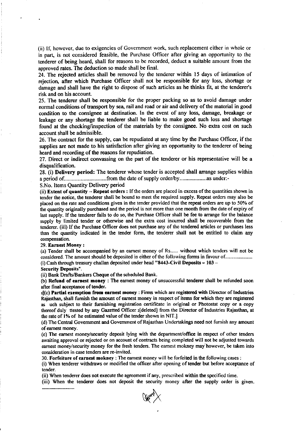(ii) If, however, due to exigencies of Govemment work, such replacement either in whole or in part, is not considered feasible, the Purchase Officer after giving an opportunity to the tenderer of being heard, shall for reasons to be recorded, deduct a suitable amount from the approved rates. The deduction so made shall be final.

24. The rejected articles shall be removed by the tenderer within 15 days of intimation of rejection, after which Purchase Officer shall not be responsible for any loss, shortage or damage and shall have the right to dispose of such articles as he thinks fil, at the tenderer's risk and on his account.

25. The tenderer shall be responsible for the proper packing so as to avoid damage under normal conditions of transport by sea, rail and road or air and delivery of the material in good condition to the consignee at destination. ln the event of any loss, damage, breakage or leakage or any shortage the tenderer shall be liable to make good such loss and shortage found at the checking/inspection of the materials by the consignee. No extra cost on such account shall be admissible.

26. The contract for the supply, can be repudiated at any time by the Purchase Officer, if the supplies are not made to his satisfaction after giving an opportunity to the tenderer of being heard and recording of the reasons for repudiation.

27. Direct or indirect convassing on the part of the tendercr or his representative will be <sup>a</sup> disqualification.

28. (i) Delivery period: The tenderer whose tender is accepted shall arrange supplies within a period of..................................from the date of supply order/by................................ as under:-

S.No. Items Quantity Delivery period

(ii) Extent of quantity  $-$  Repeat orders : If the orders are placed in excess of the quantities shown in tender the notice, the tenderer shall be bound to meet tfie requircd supply. Repeat orders may also be placed on the rate and conditions given in the tender provided that the repeat orders are up to 50% of the quantity originally purchased and the period is not more than one month from the date of expiry of last supply. If the tenderer fails to do so, the Purchase Officer shall be fee to arrange for the balance supply by limited tender or otherwise and the extra cost incurred shall be recoverable from the tenderer. (iii) lf the Purchase O{ficer does not purchase any of the tendered articles or purchases less than the quantity indicated in the tender form, the tenderer shall not be entitled to claim any compensation.

#### 29. Earnest Money:

(a) Tender shall be accompanied by an eamest money of Rs...... without which tenders will not be considered. The amount should be deposited in either of the following forms in favour of...................... (i) Cash through treasury challan deposited under head "8443-Civil Deposits  $-103$  -

#### Security Deposits".

(ii) Bank Drafts/Bankers Cheque of the scheduled Bank.

(b) Refund of earnest money : The earnest money of unsuccessful tenderer shall be refunded soon after final acceptance of tender.

if(c) Partial exemption from earnest money : Firms which are registered with Director of Industries Rajasthan, shall fumish the amount of eamest money in respecl of items for which they are registered as uch subject to their furnishing registration certificate in original or Photostat copy or a copy thereof duly ttested by any Gazetted Officer 2[deleted] from the Director of Industries Rajasthan, at the rate of 1% of he estimated value of the tender shown in NIT.

(d) The Central Government and Government of Rajasthan Undertakings need not furnish any amount of eamest money.

(e) The earnest money/security deposit lying with the department/office in respect of other tenders awaiting approval or rejected or on account of contracts being completed will not be adjusted towards earnest money/security money for the fresh tenders. The earnest mokney may however, be taken into consideration in case tenders are re-invited.

30. Forfeiture of earnest mokney : The earnest money will be forfeited in the following cases :

(i) When tenderer withdraws or modified the officer after opening of tender but before acceptance of tender.

(ii) When tenderer does not execute the agreement ifany, prescribed within the specified time.

(iii) When the tenderer does not deposit the security money after the supply order is given. ..........................

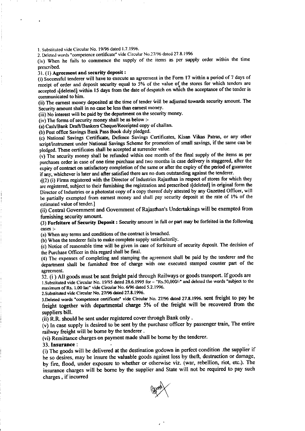l. Substituted v ide Circular No. l9196 dated 1.7. 1996.

2. Deleted words "competence certificate" vide Circular No.27/96 dated 27.8.1996

(iv) When he fails to commence the supply of the items as per supply order within the time prescribed.

## 31. (1) Agreement and security deposit :

(i) Successful tenderer will have to execute an agreement in the Form 17 within a period of 7 days of receipt of order and deposit security equal to  $5%$  of the value of the stores for which tenders are accepted (deleted) within 15 days from the date of despatch on which the acceptance of the tender is communicated to him.

(ii) The earnest money deposited at the time of tender will be adjusted towards security amount. The Security amount shall in no case be less than eamest money.

(iii) No interest will be paid by the department on the security money.

(iv) The forms of security money shall be as below :-

(a) Cash/Bank Draft/Bankers Cheque/Receipted copy of challan.

(b) Post offic€ Savings Bank Pass Book duly pledged.

(c) National Savings Certificate, Defence Savings Certificates, Kisan Vikas Patras, or any other script/instrument under National Savings Scheme for promotion of small savings, if the same can be pledged. These certificates shall be accepted at surrender value.

(v) The security money shall be refunded within one month of the final supply of the items as per purchases order in case of one time purchase and two months in case delivery is staggered, after the expiry of contract on satisfactory completion of the same or after the expiry of the period of guarantee ifany, whichever is later and after satisfied there are no dues outstanding against the tenderer.

 $_{2}$ [(2)(i) Firms registered with the Director of Industries Rajasthan in respect of stores for which they are registered, subject to their furnishing the registration and prescribed 3[deleted] in original form the Director of Industries or a photostat copy of a copy thereof duly attested by any Gazetted Officer, will be panially exempted from earnest money and shall pay security deposit at the rate of l% of the estimated value of tender.]

(ii) Central Govemmeni and Govemment of Rajasthan's Undertakings will be exempted from fumishing security amount.

(3) Forfeiture of Security Deposit : Security amount in full or part may be forfeited in the following cases :-

(a) When any terms and conditions of the contract is breached.

(b) When the tenderer fails to make complete supply satisfactorily.

(c) Notice of reasonable time will be given in case of forfeiture of security deposit. The decision of the Purchase Officer in this regard shall be final.

(4) The expenses of completing and stamping the agreement shall be paid by the tenderer and the department shall be furnished free of charge with one executed stamped counter part of the agreement.

32. (i) All goods must be sent freight paid through Railways or goods transport. If goods are l.Subsrituted vide Circular No. l9l95 dated 28.6.1995 for - "Rs.50,0OCy-' and deleted the words "subject to the maximum of Rs. 1.00 lac" vide Circular No. 6/96 dated 5.2.1996.

2. Substituted vide Circular No. 27/96 dated 27.8.1996.

3.Deleted words "competence certificate" vide Circular No. 27/96 dated 27.8.1996. sent freight to pay he freight together with departmental charge 5% of the freight will be recovered from the suppliers bill.

(ii) R.R. should be sent under registered cover through Bank only .

 $(v)$  In case supply is desired to be sent by the purchase officer by passenger train, The entire railway freight will be borne by the tenderer.

(vi) Remittance charges on payment made shall be borne by the tenderer.

#### $33.$  Insurance :

(i) The goods will be delivered at the destination godown in perfect condition .the supplier if he so desires, may be insure the valuable goods against loss by theft, destruction or damage, by fire, flood, under exposure to whether or otherwise viz. (war, rebellion, riot, etc.). The insurance charges will be bome by the supplier and State will not be required to pay such charges , if incurred

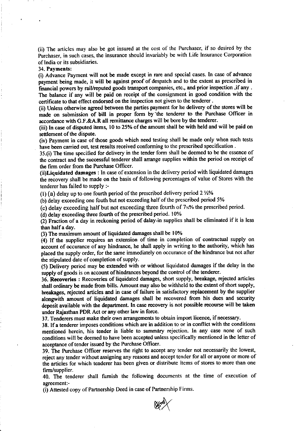(ii) The articles may also be got insurcd at the cost of the Purchaser, if so desired by the Purchaser, in such cases, the insurance should invariably be with Life lnsurance Corporation of lndia or its subsidiaries.

34. Payments:

(i) Advance Payment will not be made except in rare and special cases. In case of advance payment being made, it will be against proof of despatch and to the extent as prescribed in financial powers by rail/reputed goods transport companies, etc., and prior inspection , if any . The balance if any will be paid on receipt of the consignment in good condition with the certificate to that effect endorsed on the inspection not given to the tenderer.

(ii) Unless otherwise agreed between the parties payment for he delivery of the stores will be made on submission of bill in proper form by'the tenderer to the Purchase Officer in accordance with G.F.&A.R all remittance charges will be bore by the tenderer.

(iii) In case of disputed items, 10 to 25% of the amount shall be with held and will be paid on settlement of the dispute.

(iv) Payment in case of those goods which need testing shall be made only when such tests have been carried out, test results received conforming to the prescribed specification.

35.(i) The time specified for delivery in the tender form shall be deemed to be the essence of the contract and the successful tenderer shall arrange supplies within the period on receipt of the firm order from the Purchase Officer.

(ii)Liquidated damages : In case ofextension in the delivery period with liquidated damages the recovery shall be made on the basis of following percentages of value of Stores with the tenderer has failed to supply :-

(1) (a) delay up to one fourth period of the prescribed delivery period  $2\frac{1}{2}\%$ 

(b) delay exceeding one fouth but not exceeding half of the prescribed period 5%

(c) delay exceeding half but not exceeding three fourth of  $7<sub>2</sub>%$  the prescribed period.

 $(d)$  delay exceeding three fourth of the prescribed period. 10%

(2) Fraction of a day in reckoning period of dalay in supplies shall be eliminated if it is less than halfa day.

(3) The maximum amount of liquidated damages shall be l0%

(4) If the supplier rcquires an extension of time in completion of contractual supply on account of occurance of any hindrance, he shall apply in writing to the authority, which has placed the supply order, for the same immediately on occurance of the hindrance but not after the stipulated date of completion of supply.

(5) Delivery period may be extended with or without liquidated damages if the delay in the supply of goods is on account of hindrances beyond the control of the tenderer.

36. Recoveries : Recoveries of liquidated damages, short supply, breakage, rejected articles shall ordinary be made from bills. Amount may also be withheld to the extent of short supply, breakages, rejected articles and in case of failure in satisfactory replacement by the supplier alongwith amount of liquidated damages shall be recovered from his dues and security deposit available with the department. In case recovery is not possible recourse will be taken under Rajasthan PDR Act or any other law in force.

37. Tenderers must make their own arrangements to obtain import licence, if necessary.

38. Ifa tenderer imposes conditions which are in addition to or in conflict with the conditions mentioned herein, his tender is liable to summdry rejection. In any case none of such conditions will be deemed to have been accepted unless specifically mentioned in the letter of acceptance of tender issued by the Purchase Officer.

39. The Purchase Oflicer reserves the right to accept any tender not necessarily the lowesl, reject any tender without assigning any rcasons and accept tender for all or anyone or more of the articles for which tenderer has been given or distribute items of stores to more than one firm/supplier.

40. The tenderer shall fumish the following documents at the time of execution of agreement:-

(i) Attested copy of Partnership Deed in case of Partnership Firms.

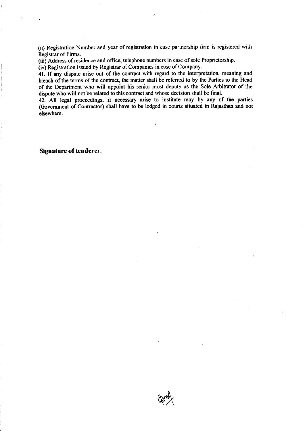(ii) Registration Number and year of registration in case partnership firm is registercd with Registrar of Firms.

(iii) Address of residence and office, telephone numbers in case of sole Proprietorship.

(iv) Registration issued by Registrar of Companies in case of Company.

41. If any dispute arise out of the contract with regard to the interpretation, meaning and breach of the terms of the contract, the matter shall be referred to by the Parties to the Head of the Department who will appoint his senior most deputy as the Sole Arbitrator of the dispute who will not be related to this contract and whose decision shall be final.

42. All legat proceedings, if necessary arise to institute may by any of the parties (Govemment of Contractor) shall have to be lodged in courts situated in Rajasthan and not elsewherc.

Signature of tenderer.

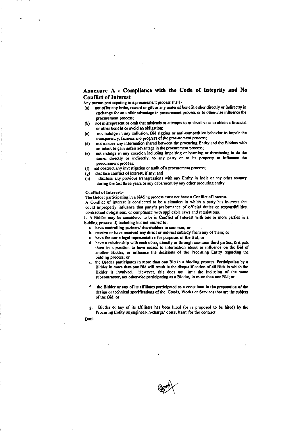#### Annexure A: Compliance with the Code of Integrity and No **Conflict of Interest**

Any person participating in a procurement process shall -

- (a) not offer any bribe, reward or gift or any material benefit either directly or indirectly in exchange for an unfair advantage in procurement process or to otherwise influence the procurement process;
- not misrepresent or omit that misleads or attempts to mislead so as to obtain a financial  $(b)$ or other benefit or avoid an obligation;
- not indulge in any collusion, Bid rigging or anti-competitive behavior to impair the  $(c)$ transparency, fairness and progress of the procurement process;
- not misuse any information shared between the procuring Entity and the Bidders with  $(d)$ an intent to gain unfair advantage in the procurement process;
- not indulge in any coercion including impairing or harming or threatening to do the  $(e)$ same, directly or indirectly, to any party or to its property to influence the procurement process;
- not obstruct any investigation or audit of a procurement process;  $(6)$
- disclose conflict of interest, if any; and (g)
- disclose any previous transgressions with any Entity in India or any other country  $(h)$ during the last three years or any debarment by any other procuring entity.

#### Conflict of Interest:-

The Bidder participating in a bidding process must not have a Conflict of Interest.

A Conflict of Interest is considered to be a situation in which a party has interests that could improperly influence that party's performance of official duties or responsibilities, contractual obligations, or compliance with applicable laws and regulations.

i. A Bidder may be considered to be in Conflict of Interest with one or more parties in a bidding process if, including but not limited to:

- a. have controlling partners/ shareholders in common; or
- b. receive or have received any direct or indirect subsidy from any of them; or
- c. have the same legal representative for purposes of the Bid; or
- d. have a relationship with each other, directly or through common third parties, that puts them in a position to have access to information about or influence on the Bid of another Bidder, or influence the decisions of the Procuring Entity regarding the bidding process; or
- e. the Bidder participates in more than one Bid in a bidding process. Participation by a Bidder in more than one Bid will result in the disqualification of all Bids in which the Bidder is involved. However, this does not limit the inclusion of the same subcontractor, not otherwise participating as a Bidder, in more than one Bid; or
- f. the Bidder or any of its affiliates participated as a consultant in the preparation of the design or technical specifications of the Goods, Works or Services that are the subject of the Bid; or
- Bidder or any of its affiliates has been hired (or is proposed to be hired) by the Procuring Entity as engineer-in-charge/ consultant for the contract.

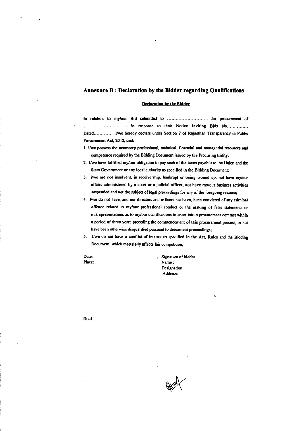#### Annexure B: Declaration by the Bidder regarding Qualifications

#### **Declaration by the Bidder**

In relation to my/our Bid submitted to ............................... for procurement of Dated.............. I/we hereby declare under Section 7 of Rajasthan Transparency in Public Procurement Act, 2012, that:

- 1. I/we possess the necessary professional, technical, financial and managerial resources and competence required by the Bidding Document issued by the Procuring Entity;
- 2. I/we have fulfilled my/our obligation to pay such of the taxes payable to the Union and the State Government or any local authority as specified in the Bidding Document;
- 3. I/we are not insolvent, in receivership, bankrupt or being wound up, not have my/our affairs administered by a court or a judicial officer, not have my/our business activities suspended and not the subject of legal proceedings for any of the foregoing reasons;
- 4. I/we do not have, and our directors and officers not have, been convicted of any criminal offence related to my/our professional conduct or the making of false statements or misrepresentations as to my/our qualifications to enter into a procurement contract within a period of three years preceding the commencement of this procurement process, or not have been otherwise disqualified pursuant to debarment proceedings;
- 5. I/we do not have a conflict of interest as specified in the Act, Rules and the Bidding Document, which materially affects fair competition;

Date: Place: Signature of bidder Name: Designation: Address:

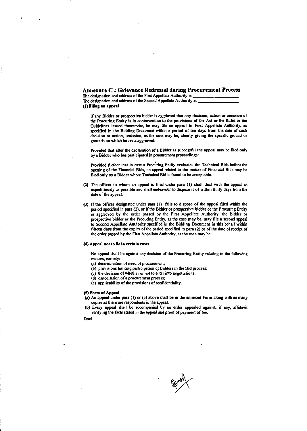#### Annexure C : Grievance Redressal during Procurement Process

The designation and address of the First Appellate Authority is The designation and address of the Second Appellate Authority is (1) Filing an appeal

If any Bidder or prospective bidder is aggrieved that any decision, action or omission of the Procuring Entity is in contravention to the provisions of the Act or the Rules or the Guidelines issued thereunder, he may file an appeal to First Appellate Authority, as specified in the Bidding Document within a period of ten days from the date of such decision or action, omission, as the case may be, clearly giving the specific ground or grounds on which he feels aggrieved:

Provided that after the declaration of a Bidder as successful the appeal may be filed only by a Bidder who has participated in procurement proceedings:

Provided further that in case a Procuring Entity evaluates the Technical Bids before the opening of the Financial Bids, an appeal related to the matter of Financial Bids may be filed only by a Bidder whose Technical Bid is found to be acceptable.

- (2) The officer to whom an appeal is filed under para (1) shall deal with the appeal as expeditiously as possible and shall endeavour to dispose it of within thirty days from the date of the appeal.
- (3) If the officer designated under para (1) fails to dispose of the appeal filed within the period specified in para (2), or if the Bidder or prospective bidder or the Procuring Entity is aggrieved by the order passed by the First Appellate Authority, the Bidder or prospective bidder or the Procuring Entity, as the case may be, may file a second appeal to Second Appellate Authority specified in the Bidding Document in this behalf within fifteen days from the expiry of the period specified in para (2) or of the date of receipt of the order passed by the First Appellate Authority, as the case may be.

#### (4) Appeal not to lie in certain cases

No appeal shall lie against any decision of the Procuring Entity relating to the following matters, namely:-

- (a) determination of need of procurement;
- (b) provisions limiting participation of Bidders in the Bid process;
- (c) the decision of whether or not to enter into negotiations;
- (d) cancellation of a procurement process;
- (e) applicability of the provisions of confidentiality.

#### (5) Form of Appeal

- (a) An appeal under para (1) or (3) above shall be in the annexed Form along with as many copies as there are respondents in the appeal.
- (b) Every appeal shall be accompanied by an order appealed against, if any, affidavit verifying the facts stated in the appeal and proof of payment of fee.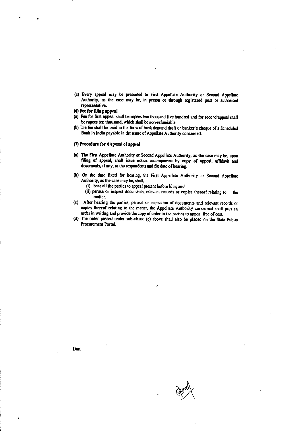- (c) Every appeal may be presented to First Appellate Authority or Second Appellate Authority, as the case may be, in person or through registered post or authorised representative.
- (6) Fee for filing appeal
- (a) Fee for first appeal shall be rupees two thousand five hundred and for second appeal shall be rupees ten thousand, which shall be non-refundable.
- (b) The fee shall be paid in the form of bank demand draft or banker's cheque of a Scheduled Bank in India payable in the name of Appellate Authority concerned.
- (7) Procedure for disposal of appeal
- (a) The First Appellate Authority or Second Appellate Authority, as the case may be, upon filing of appeal, shall issue notice accompanied by copy of appeal, affidavit and documents, if any, to the respondents and fix date of hearing.
- (b) On the date fixed for hearing, the First Appellate Authority or Second Appellate Authority, as the case may be, shall,-
	- (i) hear all the parties to appeal present before him; and
	- (ii) peruse or inspect documents, relevant records or copies thereof relating to the matter.
- (c) After hearing the parties, perusal or inspection of documents and relevant records or copies thereof relating to the matter, the Appellate Authority concerned shall pass an order in writing and provide the copy of order to the parties to appeal free of cost.
- (d) The order passed under sub-clause (c) above shall also be placed on the State Public Procurement Portal.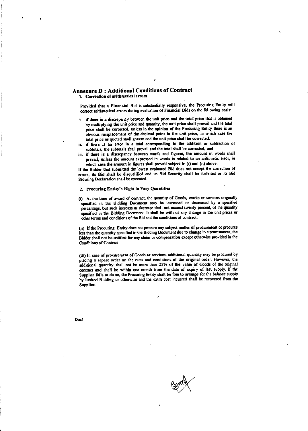#### **Annexure D: Additional Conditions of Contract** 1. Correction of arithmetical errors

Provided that a Financial Bid is substantially responsive, the Procuring Entity will correct arithmetical errors during evaluation of Financial Bids on the following basis:

- i. if there is a discrepancy between the unit price and the total price that is obtained by multiplying the unit price and quantity, the unit price shall prevail and the total price shall be corrected, unless in the opinion of the Procuring Entity there is an obvious misplacement of the decimal point in the unit price, in which case the total price as quoted shall govern and the unit price shall be corrected;
- ii. if there is an error in a total corresponding to the addition or subtraction of subtotals, the subtotals shall prevail and the total shall be corrected; and
- iii. if there is a discrepancy between words and figures, the amount in words shall prevail, unless the amount expressed in words is related to an arithmetic error, in which case the amount in figures shall prevail subject to (i) and (ii) above.

If the Bidder that submitted the lowest evaluated Bid does not accept the correction of errors, its Bid shall be disqualified and its Bid Security shall be forfeited or its Bid Securing Declaration shall be executed.

#### 2. Procuring Entity's Right to Vary Quantities

(i) At the time of award of contract, the quantity of Goods, works or services originally specified in the Bidding Document may be increased or decreased by a specified percentage, but such increase or decrease shall not exceed twenty percent, of the quantity specified in the Bidding Document. It shall be without any change in the unit prices or other terms and conditions of the Bid and the conditions of contract.

(ii) If the Procuring Entity does not procure any subject matter of procurement or procures less than the quantity specified in the Bidding Document due to change in circumstances, the Bidder shall not be entitled for any claim or compensation except otherwise provided in the Conditions of Contract.

(iii) In case of procurement of Goods or services, additional quantity may be procured by placing a repeat order on the rates and conditions of the original order. However, the additional quantity shall not be more than 25% of the value of Goods of the original contract and shall be within one month from the date of expiry of last supply. If the Supplier fails to do so, the Procuring Entity shall be free to arrange for the balance supply by limited Bidding or otherwise and the extra cost incurred shall be recovered from the Supplier.

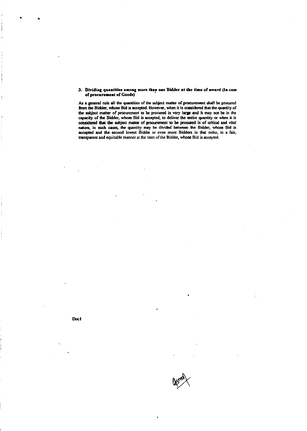#### 3. Dividing quantities among more than one Bidder at the time of award (In case of procurement of Goods)

As a general rule all the quantities of the subject matter of procurement shall be procured from the Bidder, whose Bid is accepted. However, when it is considered that the quantity of the subject matter of procurement to be procured is very large and it may not be in the capacity of the Bidder, whose Bid is accepted, to deliver the entire quantity or when it is considered that the subject matter of procurement to be procured is of critical and vital nature, in such cases, the quantity may be divided between the Bidder, whose Bid is accepted and the second lowest Bidder or even more Bidders in that order, in a fair, transparent and equitable manner at the rates of the Bidder, whose Bid is accepted.

Docl